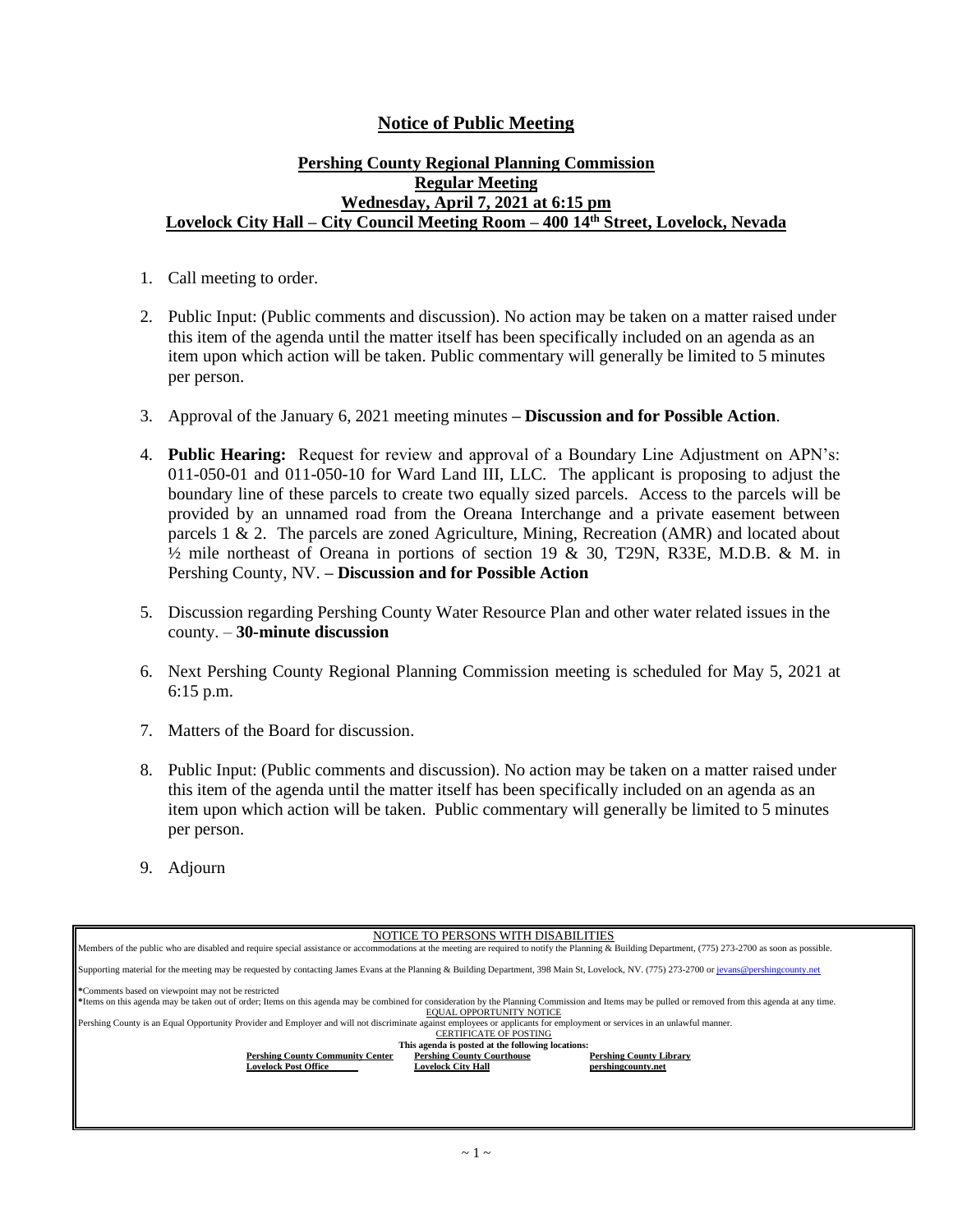## **Notice of Public Meeting**

## **Pershing County Regional Planning Commission Regular Meeting Wednesday, April 7, 2021 at 6:15 pm Lovelock City Hall – City Council Meeting Room – 400 14th Street, Lovelock, Nevada**

- 1. Call meeting to order.
- 2. Public Input: (Public comments and discussion). No action may be taken on a matter raised under this item of the agenda until the matter itself has been specifically included on an agenda as an item upon which action will be taken. Public commentary will generally be limited to 5 minutes per person.
- 3. Approval of the January 6, 2021 meeting minutes **– Discussion and for Possible Action**.
- 4. **Public Hearing:** Request for review and approval of a Boundary Line Adjustment on APN's: 011-050-01 and 011-050-10 for Ward Land III, LLC. The applicant is proposing to adjust the boundary line of these parcels to create two equally sized parcels. Access to the parcels will be provided by an unnamed road from the Oreana Interchange and a private easement between parcels 1  $\&$  2. The parcels are zoned Agriculture, Mining, Recreation (AMR) and located about  $\frac{1}{2}$  mile northeast of Oreana in portions of section 19 & 30, T29N, R33E, M.D.B. & M. in Pershing County, NV. **– Discussion and for Possible Action**
- 5. Discussion regarding Pershing County Water Resource Plan and other water related issues in the county. – **30-minute discussion**
- 6. Next Pershing County Regional Planning Commission meeting is scheduled for May 5, 2021 at 6:15 p.m.
- 7. Matters of the Board for discussion.
- 8. Public Input: (Public comments and discussion). No action may be taken on a matter raised under this item of the agenda until the matter itself has been specifically included on an agenda as an item upon which action will be taken. Public commentary will generally be limited to 5 minutes per person.
- 9. Adjourn

| NOTICE TO PERSONS WITH DISABILITIES                                                                                                                                                                   |                                |
|-------------------------------------------------------------------------------------------------------------------------------------------------------------------------------------------------------|--------------------------------|
| Members of the public who are disabled and require special assistance or accommodations at the meeting are required to notify the Planning & Building Department, (775) 273-2700 as soon as possible. |                                |
|                                                                                                                                                                                                       |                                |
| Supporting material for the meeting may be requested by contacting James Evans at the Planning & Building Department, 398 Main St, Lovelock, NV. (775) 273-2700 or jevans@pershingcounty.net          |                                |
|                                                                                                                                                                                                       |                                |
| *Comments based on viewpoint may not be restricted                                                                                                                                                    |                                |
| *Items on this agenda may be taken out of order; Items on this agenda may be combined for consideration by the Planning Commission and Items may be pulled or removed from this agenda at any time.   |                                |
| EQUAL OPPORTUNITY NOTICE                                                                                                                                                                              |                                |
|                                                                                                                                                                                                       |                                |
| Pershing County is an Equal Opportunity Provider and Employer and will not discriminate against employees or applicants for employment or services in an unlawful manner.                             |                                |
| <b>CERTIFICATE OF POSTING</b>                                                                                                                                                                         |                                |
| This agenda is posted at the following locations:                                                                                                                                                     |                                |
| <b>Pershing County Community Center</b><br><b>Pershing County Courthouse</b>                                                                                                                          | <b>Pershing County Library</b> |
| <b>Lovelock Post Office</b><br><b>Lovelock City Hall</b>                                                                                                                                              | pershingcounty.net             |
|                                                                                                                                                                                                       |                                |
|                                                                                                                                                                                                       |                                |
|                                                                                                                                                                                                       |                                |
|                                                                                                                                                                                                       |                                |
|                                                                                                                                                                                                       |                                |
|                                                                                                                                                                                                       |                                |
|                                                                                                                                                                                                       |                                |